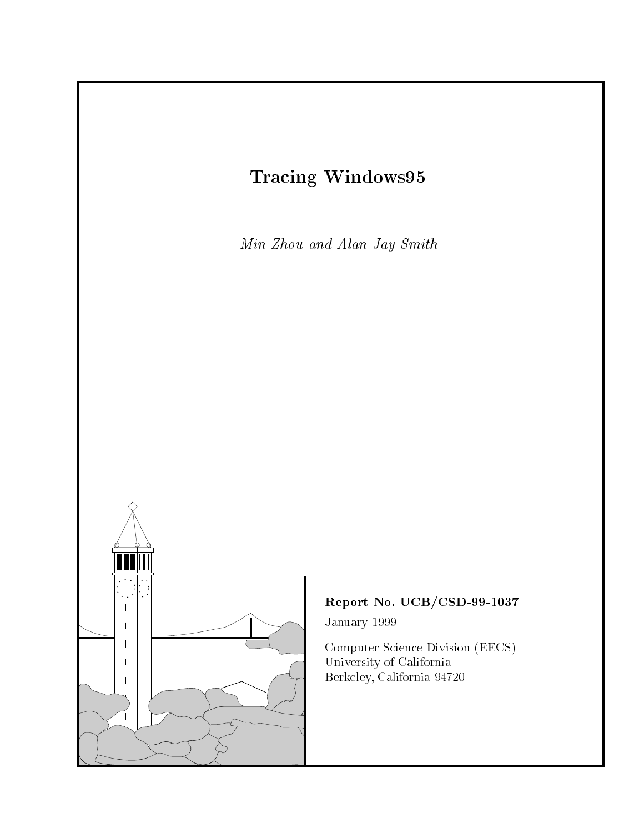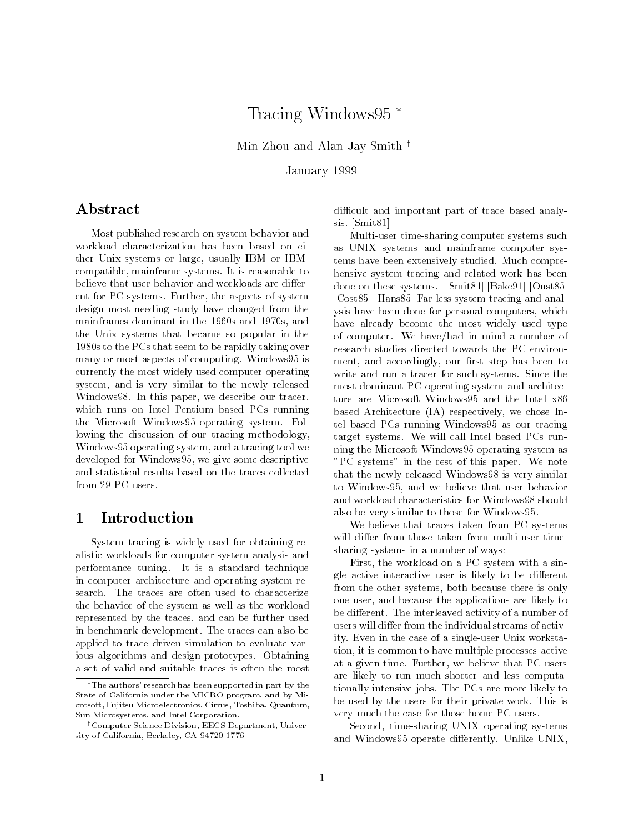# Tracing Windows95

Min Zhou and Alan Jay Smith  $<sup>†</sup>$ </sup>

January 1999

# Abstract

Most published research on system behavior and workload characterization has been based on either Unix systems or large, usually IBM or IBMcompatible, mainframe systems. It is reasonable to believe that user behavior and workloads are different for PC systems. Further, the aspects of system design most needing study have changed from the mainframes dominant in the 1960s and 1970s, and the Unix systems that became so popular in the 1980s to the PCs that seem to be rapidly taking over many or most aspects of computing. Windows95 is currently the most widely used computer operating system, and is very similar to the newly released Windows98. In this paper, we describe our tracer, which runs on Intel Pentium based PCs running the Microsoft Windows95 operating system. Following the discussion of our tracing methodology, Windows95 operating system, and a tracing tool we developed for Windows95, we give some descriptive and statistical results based on the traces collected from 29 PC users.

# 1 Introduction

System tracing is widely used for obtaining realistic workloads for computer system analysis and performance tuning. It is a standard technique in computer architecture and operating system research. The traces are often used to characterize the behavior of the system as well as the workload represented by the traces, and can be further used in benchmark development. The traces can also be applied to trace driven simulation to evaluate various algorithms and design-prototypes. Obtaining a set of valid and suitable traces is often the most difficult and important part of trace based analysis. [Smit81]

Multi-user time-sharing computer systems such as UNIX systems and mainframe computer systems have been extensively studied. Much comprehensive system tracing and related work has been done on these systems. [Smit81] [Bake91] [Oust85] [Cost85] [Hans85] Far less system tracing and analysis have been done for personal computers, which have already become the most widely used type of computer. We have/had in mind a number of research studies directed towards the PC environ ment, and accordingly, our first step has been to write and run a tracer for such systems. Since the most dominant PC operating system and architecture are Microsoft Windows95 and the Intel x86 based Architecture (IA) respectively, we chose Intel based PCs running Windows95 as our tracing target systems. We will call Intel based PCs running the Microsoft Windows95 operating system as "PC systems" in the rest of this paper. We note that the newly released Windows98 is very similar to Windows95, and we believe that user behavior and workload characteristics for Windows98 should also be very similar to those for Windows95.

We believe that traces taken from PC systems will differ from those taken from multi-user timesharing systems in a number of ways:

First, the workload on a PC system with a single active interactive user is likely to be different from the other systems, both because there is only one user, and because the applications are likely to be different. The interleaved activity of a number of users will differ from the individual streams of activity. Even in the case of a single-user Unix workstation, it is common to have multiple processes active at a given time. Further, we believe that PC users are likely to run much shorter and less computationally intensive jobs. The PCs are more likely to be used by the users for their private work. This is very much the case for those home PC users.

Second, time-sharing UNIX operating systems and Windows95 operate differently. Unlike UNIX,

The authors' research has been supported in part by the State of California under the MICRO program, and by Microsoft, Fujitsu Microelectronics, Cirrus, Toshiba, Quantum, Sun Microsystems, and Intel Corporation.

<sup>&</sup>lt;sup>†</sup>Computer Science Division, EECS Department, University of California, Berkeley, CA 94720-1776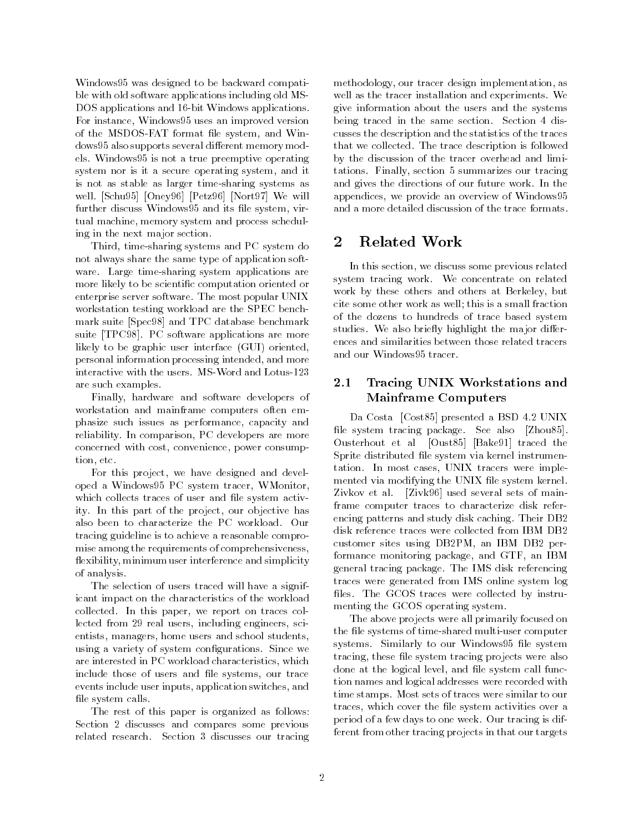Windows95 was designed to be backward compatible with old software applications including old MS-DOS applications and 16-bit Windows applications. For instance, Windows95 uses an improved version of the MSDOS-FAT format file system, and Windows95 also supports several different memory models. Windows95 is not a true preemptive operating system nor is it a secure operating system, and it is not as stable as larger time-sharing systems as well. [Schu95] [Oney96] [Petz96] [Nort97] We will further discuss Windows95 and its file system, virtual machine, memory system and process scheduling in the next major section.

Third, time-sharing systems and PC system do not always share the same type of application soft ware. Large time-sharing system applications are more likely to be scientific computation oriented or enterprise server software. The most popular UNIX workstation testing workload are the SPEC benchmark suite [Spec98] and TPC database benchmark suite [TPC98]. PC software applications are more likely to be graphic user interface (GUI) oriented, personal information processing intended, and more interactive with the users. MS-Word and Lotus-123 are such examples.

Finally, hardware and software developers of workstation and mainframe computers often emphasize such issues as performance, capacity and reliability. In comparison, PC developers are more concerned with cost, convenience, power consumption, etc.

For this project, we have designed and developed a Windows95 PC system tracer, WMonitor, which collects traces of user and file system activity. In this part of the project, our objective has also been to characterize the PC workload. Our tracing guideline is to achieve a reasonable compromise among the requirements of comprehensiveness, flexibility, minimum user interference and simplicity of analysis.

The selection of users traced will have a significant impact on the characteristics of the workload collected. In this paper, we report on traces collected from 29 real users, including engineers, scientists, managers, home users and school students, using a variety of system congurations. Since we are interested in PC workload characteristics, which include those of users and file systems, our trace events include user inputs, application switches, and file system calls.

The rest of this paper is organized as follows: Section 2 discusses and compares some previous related research. Section 3 discusses our tracing

methodology, our tracer design implementation, as well as the tracer installation and experiments. We give information about the users and the systems being traced in the same section. Section 4 discusses the description and the statistics of the traces that we collected. The trace description is followed by the discussion of the tracer overhead and limitations. Finally, section 5 summarizes our tracing and gives the directions of our future work. In the appendices, we provide an overview of Windows95 and a more detailed discussion of the trace formats.

# 2 Related Work

In this section, we discuss some previous related system tracing work. We concentrate on related work by these others and others at Berkeley, but cite some other work as well; this is a small fraction of the dozens to hundreds of trace based system studies. We also briefly highlight the major differences and similarities between those related tracers and our Windows95 tracer.

## 2.1 Tracing UNIX Workstations and Mainframe Computers

Da Costa [Cost85] presented a BSD 4.2 UNIX file system tracing package. See also [Zhou85]. Ousterhout et al [Oust85] [Bake91] traced the Sprite distributed file system via kernel instrumentation. In most cases, UNIX tracers were imple mented via modifying the UNIX file system kernel. Zivkov et al. [Zivk96] used several sets of mainframe computer traces to characterize disk referencing patterns and study disk caching. Their DB2 disk reference traces were collected from IBM DB2 customer sites using DB2PM, an IBM DB2 performance monitoring package, and GTF, an IBM general tracing package. The IMS disk referencing traces were generated from IMS online system log files. The GCOS traces were collected by instrumenting the GCOS operating system.

The above projects were all primarily focused on the file systems of time-shared multi-user computer systems. Similarly to our Windows95 file system tracing, these file system tracing projects were also done at the logical level, and file system call function names and logical addresses were recorded with time stamps. Most sets of traces were similar to our traces, which cover the file system activities over a period of a few days to one week. Our tracing is different from other tracing projects in that our targets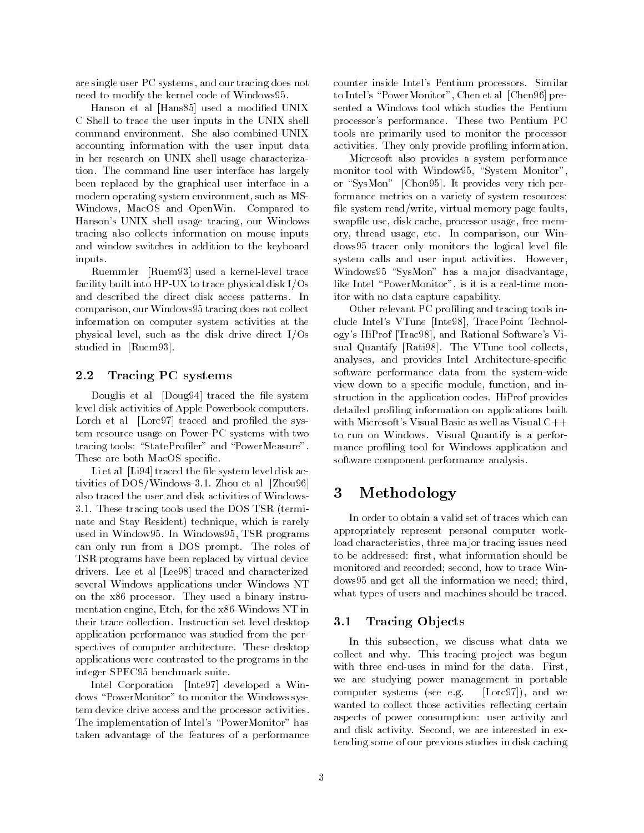are single user PC systems, and our tracing does not need to modify the kernel code of Windows95.

Hanson et al [Hans85] used a modified UNIX C Shell to trace the user inputs in the UNIX shell command environment. She also combined UNIX accounting information with the user input data in her research on UNIX shell usage characterization. The command line user interface has largely been replaced by the graphical user interface in a modern operating system environment, such as MS-Windows, MacOS and OpenWin. Compared to Hanson's UNIX shell usage tracing, our Windows tracing also collects information on mouse inputs and window switches in addition to the keyboard inputs.

Ruemmler [Ruem93] used a kernel-level trace facility built into HP-UX to trace physical disk I/Os and described the direct disk access patterns. In comparison, our Windows95 tracing does not collect information on computer system activities at the physical level, such as the disk drive direct I/Os studied in [Ruem93].

### 2.2 Tracing PC systems

Douglis et al [Doug94] traced the file system level disk activities of Apple Powerbook computers. Lorch et al [Lorc97] traced and profiled the system resource usage on Power-PC systems with two tracing tools: "StateProfiler" and "PowerMeasure". These are both MacOS specific.

Li et al $\,$  [Li94] traced the file system level disk activities of DOS/Windows-3.1. Zhou et al [Zhou96] also traced the user and disk activities of Windows-3.1. These tracing tools used the DOS TSR (terminate and Stay Resident) technique, which is rarely used in Window95. In Windows95, TSR programs can only run from a DOS prompt. The roles of TSR programs have been replaced by virtual device drivers. Lee et al [Lee98] traced and characterized several Windows applications under Windows NT on the x86 processor. They used a binary instru mentation engine, Etch, for the x86-Windows NT in their trace collection. Instruction set level desktop application performance was studied from the perspectives of computer architecture. These desktop applications were contrasted to the programs in the integer SPEC95 benchmark suite.

Intel Corporation [Inte97] developed a Windows "PowerMonitor" to monitor the Windows system device drive access and the processor activities. The implementation of Intel's "PowerMonitor" has taken advantage of the features of a performance counter inside Intel's Pentium processors. Similar to Intel's "PowerMonitor", Chen et al [Chen96] presented a Windows tool which studies the Pentium processor's performance. These two Pentium PC tools are primarily used to monitor the processor activities. They only provide profiling information.

Microsoft also provides a system performance monitor tool with Window95, "System Monitor" or "SysMon" [Chon95]. It provides very rich performance metrics on a variety of system resources: file system read/write, virtual memory page faults, swapfile use, disk cache, processor usage, free memory, thread usage, etc. In comparison, our Windows95 tracer only monitors the logical level file system calls and user input activities. However, Windows95 "SysMon" has a major disadvantage, like Intel "PowerMonitor", is it is a real-time monitor with no data capture capability.

Other relevant PC profiling and tracing tools include Intel's VTune [Inte98], TracePoint Technology's HiProf [Trac98], and Rational Software's Visual Quantify [Rati98]. The VTune tool collects, analyses, and provides Intel Architecture-specific software performance data from the system-wide view down to a specic module, function, and instruction in the application codes. HiProf provides detailed profiling information on applications built with Microsoft's Visual Basic as well as Visual C++ to run on Windows. Visual Quantify is a performance profiling tool for Windows application and software component performance analysis.

#### 3 Methodology

In order to obtain a valid set of traces which can appropriately represent personal computer workload characteristics, three major tracing issues need to be addressed: first, what information should be monitored and recorded; second, how to trace Windows95 and get all the information we need; third, what types of users and machines should be traced.

### 3.1 Tracing Ob jects

In this subsection, we discuss what data we collect and why. This tracing project was begun with three end-uses in mind for the data. First, we are studying power management in portable computer systems (see e.g. [Lorc97]), and we wanted to collect those activities reflecting certain aspects of power consumption: user activity and and disk activity. Second, we are interested in extending some of our previous studies in disk caching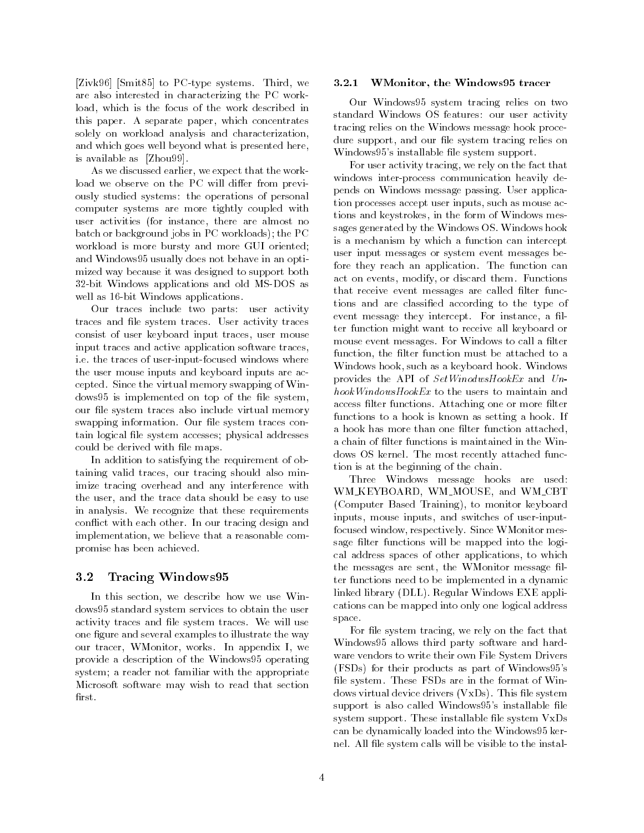[Zivk96] [Smit85] to PC-type systems. Third, we are also interested in characterizing the PC workload, which is the focus of the work described in this paper. A separate paper, which concentrates solely on workload analysis and characterization, and which goes well beyond what is presented here, is available as [Zhou99].

As we discussed earlier, we expect that the workload we observe on the PC will differ from previously studied systems: the operations of personal computer systems are more tightly coupled with user activities (for instance, there are almost no batch or background jobs in PC workloads); the PC workload is more bursty and more GUI oriented; and Windows95 usually does not behave in an optimized way because it was designed to support both 32-bit Windows applications and old MS-DOS as well as 16-bit Windows applications.

Our traces include two parts: user activity traces and file system traces. User activity traces consist of user keyboard input traces, user mouse input traces and active application software traces, i.e. the traces of user-input-focused windows where the user mouse inputs and keyboard inputs are accepted. Since the virtual memory swapping of Windows95 is implemented on top of the file system, our file system traces also include virtual memory swapping information. Our file system traces contain logical file system accesses; physical addresses could be derived with file maps.

In addition to satisfying the requirement of obtaining valid traces, our tracing should also minimize tracing overhead and any interference with the user, and the trace data should be easy to use in analysis. We recognize that these requirements con
ict with each other. In our tracing design and implementation, we believe that a reasonable compromise has been achieved.

#### $3.2$ Tracing Windows95

In this section, we describe how we use Windows95 standard system services to obtain the user activity traces and file system traces. We will use one figure and several examples to illustrate the way our tracer, WMonitor, works. In appendix I, we provide a description of the Windows95 operating system; a reader not familiar with the appropriate Microsoft software may wish to read that section  $first.$ 

#### 3.2.1 WMonitor, the Windows95 tracer

Our Windows95 system tracing relies on two standard Windows OS features: our user activity tracing relies on the Windows message hook procedure support, and our file system tracing relies on Windows95's installable file system support.

For user activity tracing, we rely on the fact that windows inter-process communication heavily depends on Windows message passing. User application processes accept user inputs, such as mouse actions and keystrokes, in the form of Windows messages generated by the Windows OS. Windows hook is a mechanism by which a function can intercept user input messages or system event messages before they reach an application. The function can act on events, modify, or discard them. Functions that receive event messages are called filter functions and are classied according to the type of event message they intercept. For instance, a filter function might want to receive all keyboard or mouse event messages. For Windows to call a filter function, the filter function must be attached to a Windows hook, such as a keyboard hook. Windows provides the API of SetWinodwsHookEx and Unhook WindowsHookEx to the users to maintain and access filter functions. Attaching one or more filter functions to a hook is known as setting a hook. If a hook has more than one filter function attached, a chain of lter functions is maintained in the Windows OS kernel. The most recently attached function is at the beginning of the chain.

Three Windows message hooks are used: WM\_KEYBOARD, WM\_MOUSE, and WM\_CBT (Computer Based Training), to monitor keyboard inputs, mouse inputs, and switches of user-inputfocused window, respectively. Since WMonitor message filter functions will be mapped into the logical address spaces of other applications, to which the messages are sent, the WMonitor message filter functions need to be implemented in a dynamic linked library (DLL). Regular Windows EXE applications can be mapped into only one logical address space.

For file system tracing, we rely on the fact that Windows95 allows third party software and hard ware vendors to write their own File System Drivers (FSDs) for their products as part of Windows95's file system. These FSDs are in the format of Windows virtual device drivers  $(VxDs)$ . This file system support is also called Windows95's installable file system support. These installable file system  $VxDs$ can be dynamically loaded into the Windows95 kernel. All file system calls will be visible to the instal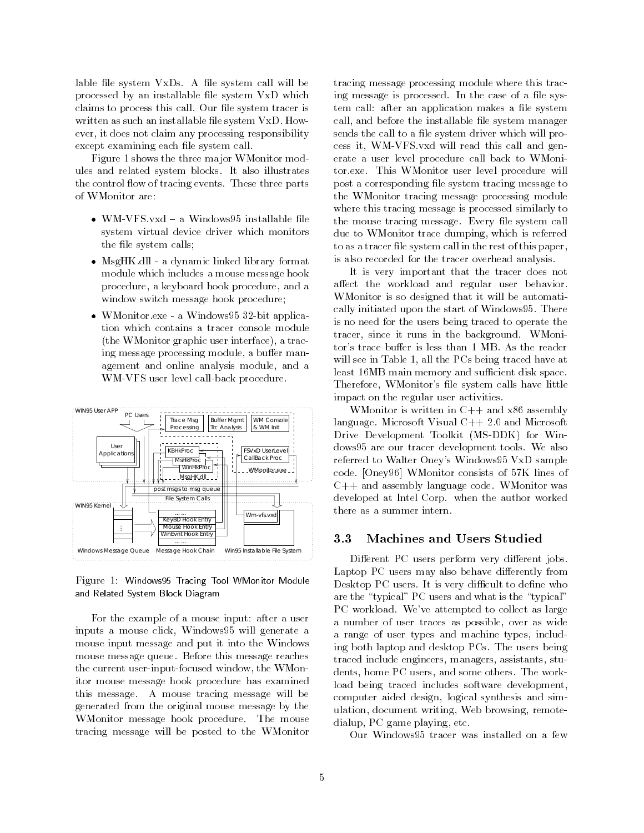lable file system  $VxDs$ . A file system call will be processed by an installable file system VxD which claims to process this call. Our file system tracer is written as such an installable file system  $VxD$ . However, it does not claim any processing responsibility except examining each file system call.

Figure 1 shows the three major WMonitor modules and related system blocks. It also illustrates the control flow of tracing events. These three parts of WMonitor are:

- system virtual device driver which monitors the file system calls;
- magher.de a dynamic library formatique is a distinct of the library formation of the library formation of the module which includes a mouse message hook procedure, a keyboard hook procedure, and a window switch message hook procedure;
- ww.com.com/windows-and-windows-a-bit-applica-a-bit-applica-a-bit-applica-a-bit-applica-a-bit-applica-a-bit-appl tion which contains a tracer console module (the WMonitor graphic user interface), a tracing message processing module, a buffer management and online analysis module, and a WM-VFS user level call-back procedure.



Figure 1: Windows95 Tracing Tool WMonitor Module and Related System Block Diagram

For the example of a mouse input: after a user inputs a mouse click, Windows95 will generate a mouse input message and put it into the Windows mouse message queue. Before this message reaches the current user-input-focused window, the WMonitor mouse message hook procedure has examined this message. A mouse tracing message will be generated from the original mouse message by the WMonitor message hook procedure. The mouse tracing message will be posted to the WMonitor

tracing message processing module where this tracing message is processed. In the case of a file system call: after an application makes a file system call, and before the installable file system manager sends the call to a file system driver which will process it, WM-VFS.vxd will read this call and generate a user level procedure call back to WMonitor.exe. This WMonitor user level procedure will post a corresponding le system tracing message to the WMonitor tracing message processing module where this tracing message is processed similarly to the mouse tracing message. Every file system call due to WMonitor trace dumping, which is referred to as a tracer file system call in the rest of this paper, is also recorded for the tracer overhead analysis.

It is very important that the tracer does not affect the workload and regular user behavior. WMonitor is so designed that it will be automatically initiated upon the start of Windows95. There is no need for the users being traced to operate the tracer, since it runs in the background. WMonitor's trace buffer is less than 1 MB. As the reader will see in Table 1, all the PCs being traced have at least 16MB main memory and sufficient disk space. Therefore, WMonitor's file system calls have little impact on the regular user activities.

WMonitor is written in C++ and x86 assembly language. Microsoft Visual C++ 2.0 and Microsoft Drive Development Toolkit (MS-DDK) for Windows95 are our tracer development tools. We also referred to Walter Oney's Windows95 VxD sample code. [Oney96] WMonitor consists of 57K lines of C++ and assembly language code. WMonitor was developed at Intel Corp. when the author worked there as a summer intern.

#### $3.3$ 3.3 Machines and Users Studied

Different PC users perform very different jobs. Laptop PC users may also behave differently from Desktop PC users. It is very difficult to define who are the "typical" PC users and what is the "typical" PC workload. We've attempted to collect as large a number of user traces as possible, over as wide a range of user types and machine types, including both laptop and desktop PCs. The users being traced include engineers, managers, assistants, students, home PC users, and some others. The workload being traced includes software development, computer aided design, logical synthesis and simulation, document writing, Web browsing, remotedialup, PC game playing, etc.

Our Windows95 tracer was installed on a few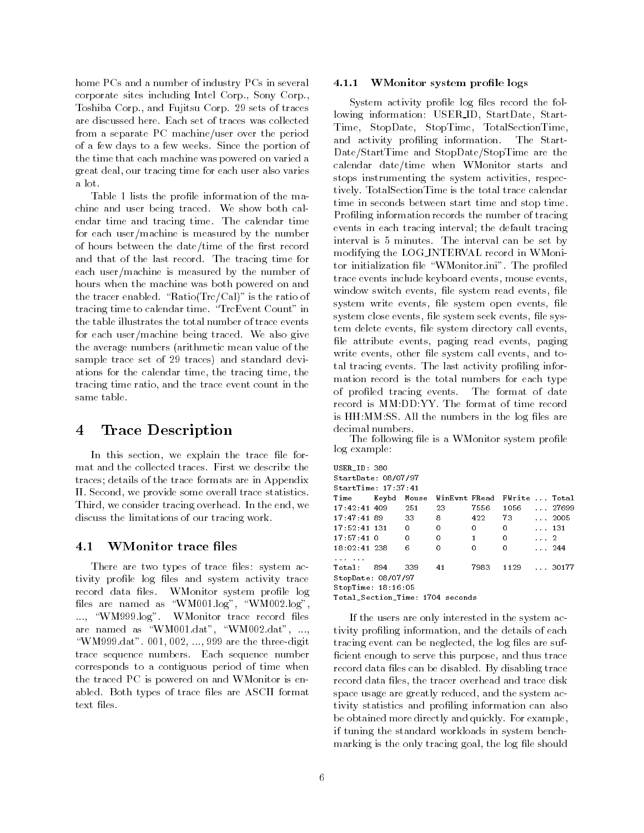home PCs and a number of industry PCs in several corporate sites including Intel Corp., Sony Corp., Toshiba Corp., and Fujitsu Corp. 29 sets of traces are discussed here. Each set of traces was collected from a separate PC machine/user over the period of a few days to a few weeks. Since the portion of the time that each machine was powered on varied a great deal, our tracing time for each user also varies

Table 1 lists the profile information of the machine and user being traced. We show both calendar time and tracing time. The calendar time for each user/machine is measured by the number of hours between the date/time of the first record and that of the last record. The tracing time for each user/machine is measured by the number of hours when the machine was both powered on and the tracer enabled. "Ratio( $Trc/Cal$ )" is the ratio of tracing time to calendar time. "TrcEvent Count" in the table illustrates the total number of trace events for each user/machine being traced. We also give the average numbers (arithmetic mean value of the sample trace set of 29 traces) and standard deviations for the calendar time, the tracing time, the tracing time ratio, and the trace event count in the

# 4 Trace Description

In this section, we explain the trace file format and the collected traces. First we describe the traces; details of the trace formats are in Appendix II. Second, we provide some overall trace statistics. Third, we consider tracing overhead. In the end, we discuss the limitations of our tracing work.

#### 4.1 WMonitor trace files

There are two types of trace files: system activity profile log files and system activity trace record data files. WMonitor system profile log files are named as "WM001.log", "WM002.log" ..., "WM999.log". WMonitor trace record files are named as "WM001.dat", "WM002.dat", ..., "WM999.dat". 001, 002, ..., 999 are the three-digit trace sequence numbers. Each sequence number corresponds to a contiguous period of time when the traced PC is powered on and WMonitor is enabled. Both types of trace files are ASCII format text files.

#### 4.1.1 WMonitor system prole logs

System activity profile log files record the following information: USER\_ID, StartDate, Start-Time, StopDate, StopTime, TotalSectionTime, and activity profiling information. The Start-Date/StartTime and StopDate/StopTime are the calendar date/time when WMonitor starts and stops instrumenting the system activities, respectively. TotalSectionTime is the total trace calendar time in seconds between start time and stop time. Profiling information records the number of tracing events in each tracing interval; the default tracing interval is 5 minutes. The interval can be set by modifying the LOG INTERVAL record in WMonitor initialization file "WMonitor.ini". The profiled trace events include keyboard events, mouse events, window switch events, file system read events, file system write events, file system open events, file system close events, file system seek events, file system delete events, file system directory call events, file attribute events, paging read events, paging write events, other file system call events, and total tracing events. The last activity profiling information record is the total numbers for each type of profiled tracing events. The format of date record is MM:DD:YY. The format of time record is HH:MM:SS. All the numbers in the log files are decimal numbers.

The following file is a WMonitor system profile log example:

| $USER_ID: 380$<br>StartDate: 08/07/97          |          |         |             |                   |              |              |               |
|------------------------------------------------|----------|---------|-------------|-------------------|--------------|--------------|---------------|
| StartTime: 17:37:41                            |          |         |             |                   |              |              |               |
| Time 6 Keybd Mouse WinEvnt FRead FWrite  Total |          |         |             |                   |              |              |               |
| $17:42:41$ 409 251 23                          |          |         |             | 7556              | 1056 . 27699 |              |               |
| 17:47:41 89 33                                 |          |         | 8           | 422               | 73           |              | $\ldots$ 2005 |
| $17:52:41$ 131                                 | $\sim$ 0 |         | $\mathbf 0$ | $\mathbf 0$       | $\mathbf{O}$ | 131          |               |
| $17:57:41$ 0                                   |          | $\circ$ | $\circ$     | $1 \qquad \qquad$ | $\mathbf{O}$ | $\cdots$ 2   |               |
| 18:02:41 238                                   |          | 6       | $\Omega$    | 0                 | 0            | $\ldots$ 244 |               |
|                                                |          |         |             |                   |              |              |               |
| Total: 894                                     |          | 339     | 41          | 7983              | 1129  30177  |              |               |
| StopDate: 08/07/97                             |          |         |             |                   |              |              |               |
| StopTime: 18:16:05                             |          |         |             |                   |              |              |               |
| Total_Section_Time: 1704 seconds               |          |         |             |                   |              |              |               |

If the users are only interested in the system activity profiling information, and the details of each tracing event can be neglected, the log files are sufficient enough to serve this purpose, and thus trace record data files can be disabled. By disabling trace record data files, the tracer overhead and trace disk space usage are greatly reduced, and the system activity statistics and profiling information can also be obtained more directly and quickly. For example, if tuning the standard workloads in system benchmarking is the only tracing goal, the log file should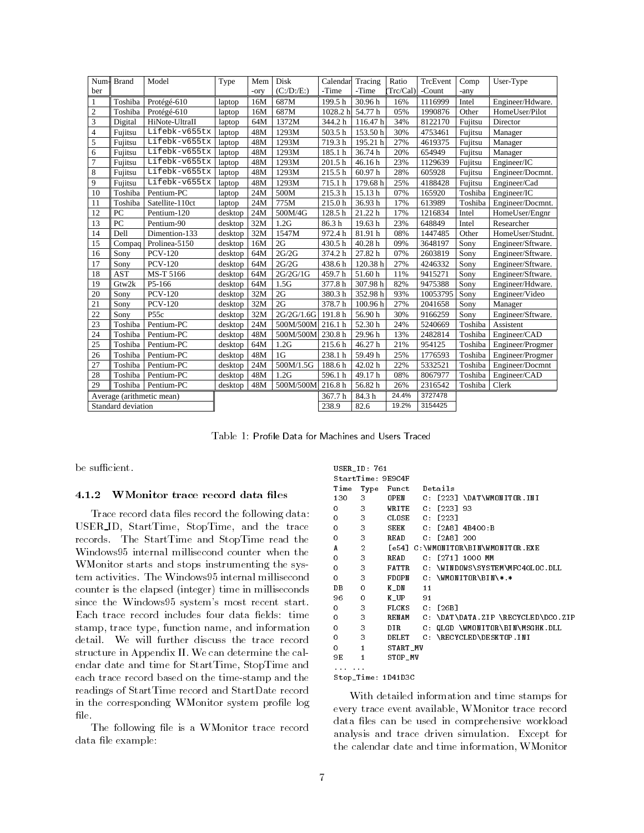|                           | Num-Brand  | Model            | Type    | Mem  | Disk           | Calendar | Tracing  | Ratio     | TrcEvent | Comp    | User-Type         |
|---------------------------|------------|------------------|---------|------|----------------|----------|----------|-----------|----------|---------|-------------------|
| ber                       |            |                  |         | -ory | (C'/D'/E)      | -Time    | -Time    | (Trc/Cal) | -Count   | -any    |                   |
| $\mathbf{1}$              | Toshiba    | Protégé-610      | laptop  | 16M  | 687M           | 199.5h   | 30.96h   | 16%       | 1116999  | Intel   | Engineer/Hdware.  |
| $\overline{2}$            | Toshiba    | Protégé-610      | laptop  | 16M  | 687M           | 1028.2 h | 54.77 h  | 05%       | 1990876  | Other   | HomeUser/Pilot    |
| 3                         | Digital    | HiNote-UltraII   | laptop  | 64M  | 1372M          | 344.2 h  | 116.47h  | 34%       | 8122170  | Fujitsu | Director          |
| $\overline{4}$            | Fujitsu    | Lifebk-v655tx    | laptop  | 48M  | 1293M          | 503.5h   | 153.50h  | 30%       | 4753461  | Fujitsu | Manager           |
| 5                         | Fujitsu    | Lifebk-v655tx    | laptop  | 48M  | 1293M          | 719.3h   | 195.21 h | 27%       | 4619375  | Fujitsu | Manager           |
| 6                         | Fujitsu    | Lifebk-v655tx    | laptop  | 48M  | 1293M          | 185.1h   | 36.74h   | 20%       | 654949   | Fujitsu | Manager           |
| $\overline{7}$            | Fujitsu    | Lifebk-v655tx    | laptop  | 48M  | 1293M          | 201.5h   | 46.16h   | 23%       | 1129639  | Fujitsu | Engineer/IC       |
| 8                         | Fujitsu    | Lifebk-v655tx    | laptop  | 48M  | 1293M          | 215.5h   | 60.97h   | 28%       | 605928   | Fujitsu | Engineer/Docmnt.  |
| $\overline{Q}$            | Fujitsu    | Lifebk-v655tx    | laptop  | 48M  | 1293M          | 715.1 h  | 179.68 h | 25%       | 4188428  | Fujitsu | Engineer/Cad      |
| 10                        | Toshiba    | Pentium-PC       | laptop  | 24M  | 500M           | 215.3h   | 15.13h   | 07%       | 165920   | Toshiba | Engineer/IC       |
| 11                        | Toshiba    | Satellite-110ct  | laptop  | 24M  | 775M           | 215.0h   | 36.93h   | 17%       | 613989   | Toshiba | Engineer/Docmnt.  |
| 12                        | PC         | Pentium-120      | desktop | 24M  | 500M/4G        | 128.5h   | 21.22h   | 17%       | 1216834  | Intel   | HomeUser/Engnr    |
| 13                        | PC         | Pentium-90       | desktop | 32M  | 1.2G           | 86.3h    | 19.63 h  | 23%       | 648849   | Intel   | Researcher        |
| 14                        | Dell       | Dimention-133    | desktop | 32M  | 1547M          | 972.4 h  | 81.91 h  | 08%       | 1447485  | Other   | HomeUser/Studnt.  |
| 15                        | Compaq     | Prolinea-5150    | desktop | 16M  | 2G             | 430.5h   | 40.28 h  | 09%       | 3648197  | Sony    | Engineer/Sftware. |
| 16                        | Sony       | <b>PCV-120</b>   | desktop | 64M  | 2G/2G          | 374.2 h  | 27.82 h  | 07%       | 2603819  | Sony    | Engineer/Sftware. |
| 17                        | Sony       | <b>PCV-120</b>   | desktop | 64M  | 2G/2G          | 438.6h   | 120.38 h | 27%       | 4246332  | Sony    | Engineer/Sftware. |
| 18                        | <b>AST</b> | MS-T 5166        | desktop | 64M  | 2G/2G/1G       | 459.7h   | 51.60h   | 11%       | 9415271  | Sony    | Engineer/Sftware. |
| 19                        | Gtw2k      | P5-166           | desktop | 64M  | 1.5G           | 377.8 h  | 307.98 h | 82%       | 9475388  | Sony    | Engineer/Hdware.  |
| 20                        | Sony       | <b>PCV-120</b>   | desktop | 32M  | 2G             | 380.3h   | 352.98 h | 93%       | 10053795 | Sony    | Engineer/Video    |
| 21                        | Sony       | <b>PCV-120</b>   | desktop | 32M  | 2G             | 378.7h   | 100.96h  | 27%       | 2041658  | Sony    | Manager           |
| 22                        | Sony       | P <sub>55c</sub> | desktop | 32M  | 2G/2G/1.6G     | 191.8h   | 56.90 h  | 30%       | 9166259  | Sony    | Engineer/Sftware. |
| 23                        | Toshiba    | Pentium-PC       | desktop | 24M  | 500M/500M      | 216.1 h  | 52.30 h  | 24%       | 5240669  | Toshiba | Assistent         |
| 24                        | Toshiba    | Pentium-PC       | desktop | 48M  | 500M/500M      | 230.8h   | 29.96 h  | 13%       | 2482814  | Toshiba | Engineer/CAD      |
| 25                        | Toshiba    | Pentium-PC       | desktop | 64M  | 1.2G           | 215.6h   | 46.27h   | 21%       | 954125   | Toshiba | Engineer/Progmer  |
| 26                        | Toshiba    | Pentium-PC       | desktop | 48M  | 1 <sub>G</sub> | 238.1 h  | 59.49h   | 25%       | 1776593  | Toshiba | Engineer/Progmer  |
| 27                        | Toshiba    | Pentium-PC       | desktop | 24M  | 500M/1.5G      | 188.6h   | 42.02 h  | 22%       | 5332521  | Toshiba | Engineer/Docmnt   |
| 28                        | Toshiba    | Pentium-PC       | desktop | 48M  | 1.2G           | 596.1 h  | 49.17h   | 08%       | 8067977  | Toshiba | Engineer/CAD      |
| 29                        | Toshiba    | Pentium-PC       | desktop | 48M  | 500M/500M      | 216.8h   | 56.82h   | 26%       | 2316542  | Toshiba | Clerk             |
| Average (arithmetic mean) |            |                  |         |      | 367.7h         | 84.3h    | 24.4%    | 3727478   |          |         |                   |
| Standard deviation        |            |                  |         |      | 238.9          | 82.6     | 19.2%    | 3154425   |          |         |                   |

Table 1: Profile Data for Machines and Users Traced

be sufficient.

#### 4.1.2 WMonitor trace record data les

Trace record data files record the following data: USER ID, StartTime, StopTime, and the trace records. The StartTime and StopTime read the Windows95 internal millisecond counter when the WMonitor starts and stops instrumenting the system activities. The Windows95 internal millisecond counter is the elapsed (integer) time in milliseconds since the Windows95 system's most recent start. Each trace record includes four data fields: time stamp, trace type, function name, and information detail. We will further discuss the trace record structure in Appendix II. We can determine the calendar date and time for StartTime, StopTime and each trace record based on the time-stamp and the readings of StartTime record and StartDate record in the corresponding WMonitor system profile log file.

The following file is a WMonitor trace record data file example:

```
USER_ID: 761
StartTime: 9E9C4F
Time Type Funct Details
130 3 OPEN C: [223] \DAT\WMONITOR.INI
0 3 WRITE C: [223] 93
\circ3
               CLOSE
                          C: [223]0 SEEK C: [2A8] 49 SEEK C: [2A8] 49 SEEK C: [2A8] 49 SEEK C: [2A8] 49 SEEK C: [2A8] 49 SEEK C: [2A8] 49 SEEK C
0 3 READ C: [2A8] 200
        \overline{2}[e54] C:\WMONITOR\BIN\WMONITOR.EXE
\mathbf{A}0 3 READ C: [271] 1000 MM
\OmegaC: \WINDOWS\SYSTEM\MFC40LOC.DLL
        3
               FATTR
0 3 FDOPN C: \WMONITOR\BIN\*.*
DB 0 K_DN 11
96
        \circ91
96 91 92 93 94 95 96 96 97 98 98 99 99 90 91 92 93 94 95 96 97 98 97 98 97 98 97 98 97 98 97 98 97 98 97 98 9
0 3 FLCKS C: [26B]
\OmegaRENAM
                          C: \DAT\DATA.ZIP \RECYCLED\DCO.ZIP
        \mathcal{B}\circ0 3 DIR C: QLGD \WMONITOR\BIN\MSGHK.DLL
0 3 DELET C: \RECYCLED\DESKTOP.INI
\mathbf{o}START MV
        \mathbf{1}0 1 START MARKET AND START MARKET AND START MARKET AND ARRANGEMENT OF A START MARKET OF A START MARKET OF A ST
        1 STOP_MV
9F
Stop_Time: 1D41D3C
```
With detailed information and time stamps for every trace event available, WMonitor trace record data files can be used in comprehensive workload analysis and trace driven simulation. Except for the calendar date and time information, WMonitor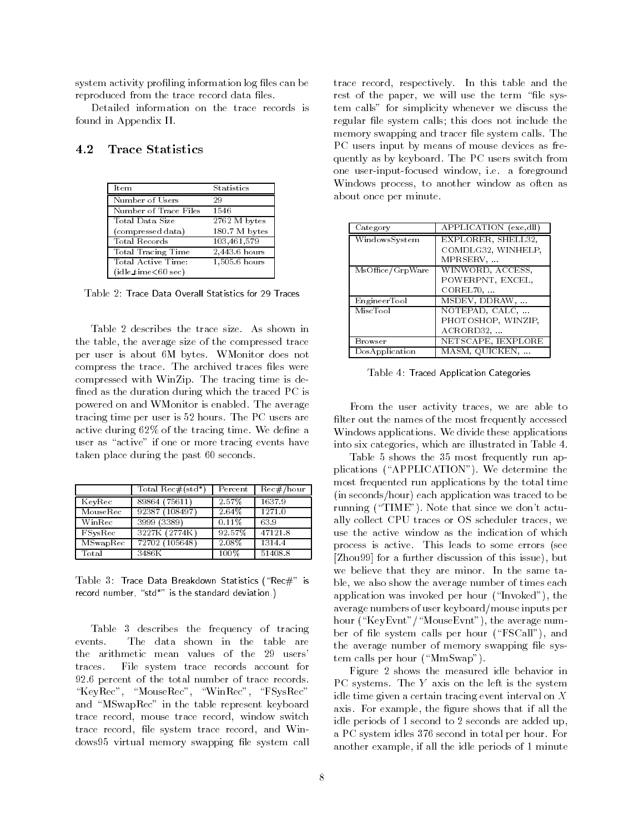system activity profiling information log files can be reproduced from the trace record data files.

Detailed information on the trace records is found in Appendix II.

#### 4.2 Trace Statistics

| Item                      | <b>Statistics</b> |
|---------------------------|-------------------|
| Number of Users           | 29                |
| Number of Trace Files     | 1546              |
| Total Data Size           | 2762 M bytes      |
| (compressed data)         | 180.7 M bytes     |
| <b>Total Records</b>      | 103,461,579       |
| <b>Total Tracing Time</b> | 2,443.6 hours     |
| Total Active Time:        | 1,505.6 hours     |
| $(idle_time<60 sec)$      |                   |

Table 2: Trace Data Overall Statistics for 29 Traces

Table 2 describes the trace size. As shown in the table, the average size of the compressed trace per user is about 6M bytes. WMonitor does not compress the trace. The archived traces files were compressed with WinZip. The tracing time is de fined as the duration during which the traced PC is powered on and WMonitor is enabled. The average tracing time per user is 52 hours. The PC users are active during  $62\%$  of the tracing time. We define a user as "active" if one or more tracing events have taken place during the past 60 seconds.

|          | Total Rec#(std*) | Percent  | Rec#/hour |
|----------|------------------|----------|-----------|
| KeyRec   | 89864 (75611)    | 2.57%    | 1637.9    |
| MouseRec | 92387 (108497)   | 2.64%    | 1271.0    |
| WinRec   | 3999 (3389)      | $0.11\%$ | 63.9      |
| FSysRec  | 3227K (2774K)    | 92.57%   | 47121.8   |
| MSwapRec | 72702(105648)    | 2.08%    | 1314.4    |
| Total    | 3486K            | $100\%$  | 51408.8   |

Table 3: Trace Data Breakdown Statistics ("Rec $\#$ " is record number, " $std^*$ " is the standard deviation.)

Table 3 describes the frequency of tracing events The data shown in the table are the arithmetic mean values of the 29 users' traces. File system trace records account for 92.6 percent of the total number of trace records.  $KeyRec$ ",  $WenceRec$ ",  $WinRec$ ",  $TSSRec$ " and "MSwapRec" in the table represent keyboard trace record, mouse trace record, window switch trace record, file system trace record, and Windows95 virtual memory swapping file system call trace record, respectively. In this table and the rest of the paper, we will use the term "file system calls" for simplicity whenever we discuss the regular file system calls; this does not include the memory swapping and tracer file system calls. The PC users input by means of mouse devices as frequently as by keyboard. The PC users switch from one user-input-focused window, i.e. a foreground Windows process, to another window as often as about once per minute.

| Category         | APPLICATION (exe,dll) |
|------------------|-----------------------|
| WindowsSystem    | EXPLORER, SHELL32,    |
|                  | COMDLG32, WINHELP,    |
|                  | MPRSERV               |
| MsOffice/GrpWare | WINWORD, ACCESS,      |
|                  | POWERPNT, EXCEL,      |
|                  | COREL70,              |
| EngineerTool     | MSDEV, DDRAW,         |
| <b>MiscTool</b>  | NOTEPAD, CALC,        |
|                  | PHOTOSHOP, WINZIP,    |
|                  | ACRORD32,             |
| Browser          | NETSCAPE, IEXPLORE    |
| DosApplication   | MASM, QUICKEN,        |

Table 4: Traced Application Categories

From the user activity traces, we are able to filter out the names of the most frequently accessed Windows applications. We divide these applications into six categories, which are illustrated in Table 4.

Table 5 shows the 35 most frequently run applications ("APPLICATION"). We determine the most frequented run applications by the total time (in seconds/hour) each application was traced to be running  $(\text{``TIME''})$ . Note that since we don't actually collect CPU traces or OS scheduler traces, we use the active window as the indication of which process is active. This leads to some errors (see [Zhou99] for a further discussion of this issue), but we believe that they are minor. In the same table, we also show the average number of times each application was invoked per hour ("Invoked"), the average numbers of user keyboard/mouse inputs per hour ("KeyEvnt"/"MouseEvnt"), the average number of file system calls per hour ("FSCall"), and the average number of memory swapping file system calls per hour ("MmSwap").

Figure 2 shows the measured idle behavior in PC systems. The Y axis on the left is the system idle time given a certain tracing event interval on X axis. For example, the figure shows that if all the idle periods of 1 second to 2 seconds are added up, a PC system idles 376 second in total per hour. For another example, if all the idle periods of 1 minute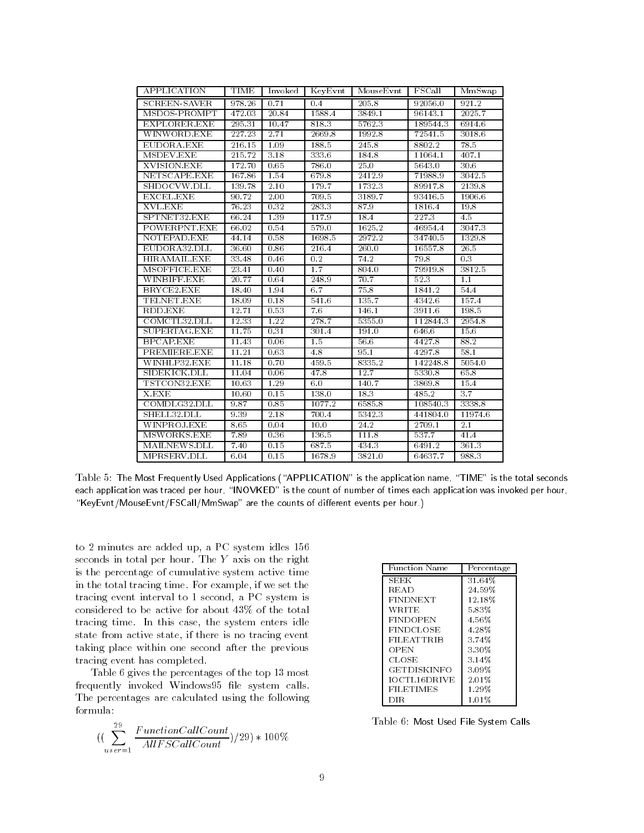| <b>APPLICATION</b>  | TIME   | Invoked | KeyEvnt | MouseEvnt | FSCall   | MmSwap             |
|---------------------|--------|---------|---------|-----------|----------|--------------------|
| <b>SCREEN-SAVER</b> | 978.26 | 0.71    | 0.4     | 205.8     | 92056.0  | $921.\overline{2}$ |
| MSDOS-PROMPT        | 472.03 | 20.84   | 1588.4  | 3849.1    | 96143.1  | 2025.7             |
| EXPLORER.EXE        | 295.31 | 10.47   | 818.3   | 5762.3    | 189544.3 | 6914.6             |
| WINWORD.EXE         | 227.23 | 2.71    | 2669.8  | 1992.8    | 72541.5  | 3018.6             |
| EUDORA.EXE          | 216.15 | 1.09    | 188.5   | 245.8     | 8802.2   | 78.5               |
| MSDEV.EXE           | 215.72 | 3.18    | 333.6   | 184.8     | 11064.1  | 407.1              |
| XVISION.EXE         | 172.70 | 0.65    | 786.0   | 25.0      | 5643.0   | 30.6               |
| NETSCAPE.EXE        | 167.86 | 1.54    | 679.8   | 2412.9    | 71988.9  | 3042.5             |
| SHDOCVW.DLL         | 139.78 | 2.10    | 179.7   | 1732.3    | 89917.8  | 2139.8             |
| <b>EXCEL.EXE</b>    | 90.72  | 2.00    | 709.5   | 3189.7    | 93416.5  | 1906.6             |
| XVL.EXE             | 76.23  | 0.32    | 283.3   | 87.9      | 1816.4   | 19.8               |
| SPTNET32.EXE        | 66.24  | 1.39    | 117.9   | 18.4      | 227.3    | 4.5                |
| POWERPNT.EXE        | 66.02  | 0.54    | 579.0   | 1625.2    | 46954.4  | 3047.3             |
| NOTEPAD.EXE         | 44.14  | 0.58    | 1698.5  | 2972.2    | 34740.5  | 1329.8             |
| EUDORA32.DLL        | 36.60  | 0.86    | 216.4   | 260.0     | 16557.8  | 26.5               |
| HIRAMAIL.EXE        | 33.48  | 0.46    | 0.2     | 74.2      | 79.8     | 0.3                |
| MSOFFICE.EXE        | 23.41  | 0.40    | 1.7     | 804.0     | 79919.8  | 3812.5             |
| WINBIFF.EXE         | 20.77  | 0.64    | 248.9   | 70.7      | 52.3     | 1.1                |
| BRYCE2.EXE          | 18.40  | 1.94    | 6.7     | 75.8      | 1841.2   | 54.4               |
| TELNET.EXE          | 18.09  | 0.18    | 541.6   | 135.7     | 4342.6   | 157.4              |
| RDD.EXE             | 12.71  | 0.53    | 7.6     | 146.1     | 3911.6   | 198.5              |
| COMCTL32.DLL        | 12.33  | 1.22    | 278.7   | 5355.0    | 112844.3 | 2954.8             |
| SUPERTAG.EXE        | 11.75  | 0.31    | 301.4   | 191.0     | 646.6    | 15.6               |
| BPCAP.EXE           | 11.43  | 0.06    | 1.5     | 56.6      | 4427.8   | 88.2               |
| PREMIERE.EXE        | 11.21  | 0.63    | 4.8     | 95.1      | 4297.8   | 58.1               |
| WINHLP32.EXE        | 11.18  | 0.70    | 459.5   | 8335.2    | 142248.8 | 5054.0             |
| SIDEKICK.DLL        | 11.04  | 0.06    | 47.8    | 12.7      | 5330.8   | 65.8               |
| TSTCON32.EXE        | 10.63  | 1.29    | 6.0     | 140.7     | 3869.8   | 15.4               |
| X.EXE               | 10.60  | 0.15    | 138.0   | 18.3      | 485.2    | 3.7                |
| COMDLG32.DLL        | 9.87   | 0.85    | 1077.2  | 6585.8    | 108540.3 | 3338.8             |
| SHELL32.DLL         | 9.39   | 2.18    | 700.4   | 5342.3    | 441804.0 | 11974.6            |
| WINPROJ.EXE         | 8.65   | 0.04    | 10.0    | 24.2      | 2709.1   | 2.1                |
| MSWORKS.EXE         | 7.89   | 0.36    | 136.5   | 111.8     | 537.7    | 41.4               |
| MAILNEWS.DLL        | 7.40   | 0.15    | 687.5   | 434.3     | 6491.2   | 361.3              |
| MPRSERV.DLL         | 6.04   | 0.15    | 1678.9  | 3821.0    | 64637.7  | 988.3              |

Table 5: The Most Frequently Used Applications ("APPLICATION" is the application name, "TIME" is the total seconds each application was traced per hour, "INOVKED" is the count of number of times each application was invoked per hour, "KeyEvnt/MouseEvnt/FSCall/MmSwap" are the counts of different events per hour.)

to 2 minutes are added up, a PC system idles 156 seconds in total per hour. The Y axis on the right is the percentage of cumulative system active time in the total tracing time. For example, if we set the tracing event interval to 1 second, a PC system is considered to be active for about 43% of the total tracing time. In this case, the system enters idle state from active state, if there is no tracing event taking place within one second after the previous tracing event has completed.

Table 6 gives the percentages of the top 13 most frequently invoked Windows95 file system calls. The percentages are calculated using the following formula:

$$
((\sum_{user=1}^{29}\frac{FunctionCallCount}{AllFSCallCount})/29)*100\%
$$

| Function Name       | Percentage |
|---------------------|------------|
| SEEK                | $31.64\%$  |
| <b>READ</b>         | $24.59\%$  |
| FINDNEXT            | $12.18\%$  |
| WRITE               | 5.83%      |
| FINDOPEN            | $4.56\%$   |
| FINDCLOSE           | 4.28%      |
| FILEATTRIB          | 3.74%      |
| OPEN                | 3.30%      |
| CLOSE               | $3.14\%$   |
| GETDISKINFO         | 3.09%      |
| <b>IOCTL16DRIVE</b> | 2.01%      |
| FILETIMES           | $1.29\%$   |
| DIR.                | $1.01\%$   |

Table 6: Most Used File System Calls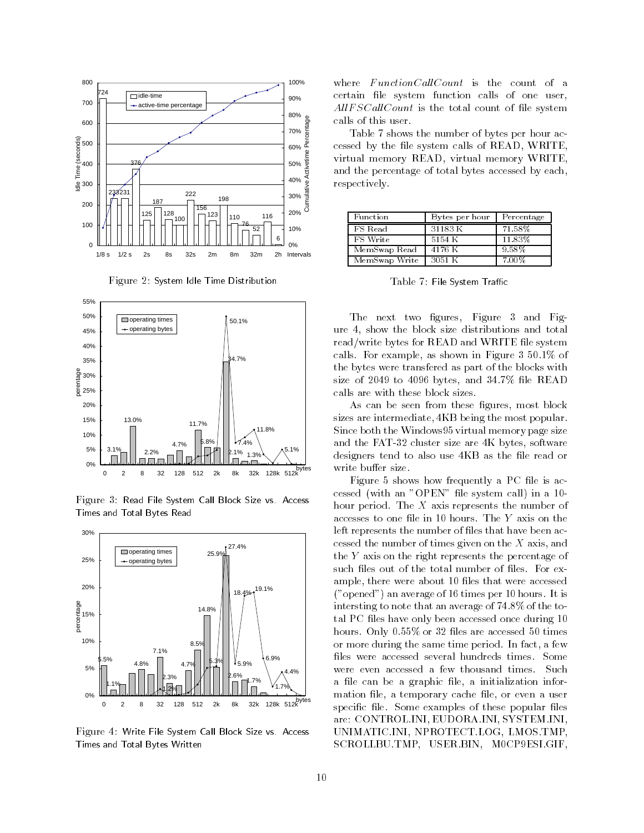

Figure 2: System Idle Time Distribution







Figure 4: Write File System Call Block Size vs. Access Times and Total Bytes Written

where  $FunctionCallCount$  is the count of a certain file system function calls of one user,  $AllFSCallCount$  is the total count of file system calls of this user.

Table 7 shows the number of bytes per hour accessed by the file system calls of READ, WRITE, virtual memory READ, virtual memory WRITE, and the percentage of total bytes accessed by each, respectively.

| Function      | Bytes per hour | Percentage |
|---------------|----------------|------------|
| FS Read       | 31183 K        | 71.58%     |
| FS Write      | 5154 K         | 11.83%     |
| MemSwap Read  | 4176 K         | 9.58%      |
| MemSwap Write | 3051K          | 7.00%      |

Table 7: File System Traffic

The next two figures, Figure 3 and Figure 4, show the block size distributions and total read/write bytes for READ and WRITE file system calls. For example, as shown in Figure 3 50.1% of the bytes were transfered as part of the blocks with size of 2049 to 4096 bytes, and  $34.7\%$  file READ calls are with these block sizes.

As can be seen from these figures, most block sizes are intermediate, 4KB being the most popular. Since both the Windows95 virtual memory page size and the FAT-32 cluster size are 4K bytes, software designers tend to also use 4KB as the file read or write buffer size.

Figure 5 shows how frequently a PC file is accessed (with an "OPEN" file system call) in a  $10$ hour period. The  $X$  axis represents the number of accesses to one file in 10 hours. The  $Y$  axis on the left represents the number of files that have been accessed the number of times given on the X axis, and the Y axis on the right represents the percentage of such files out of the total number of files. For example, there were about 10 files that were accessed ("opened") an average of 16 times per 10 hours. It is intersting to note that an average of 74.8% of the total PC files have only been accessed once during 10 hours. Only  $0.55\%$  or 32 files are accessed 50 times or more during the same time period. In fact, a few files were accessed several hundreds times. Some were even accessed a few thousand times. Such a file can be a graphic file, a initialization information file, a temporary cache file, or even a user specific file. Some examples of these popular files are: CONTROL.INI, EUDORA.INI, SYSTEM.INI, UNIMATIC.INI, NPROTECT.LOG, LMOS.TMP, SCROLLBU.TMP, USER.BIN, M0CP9ESI.GIF,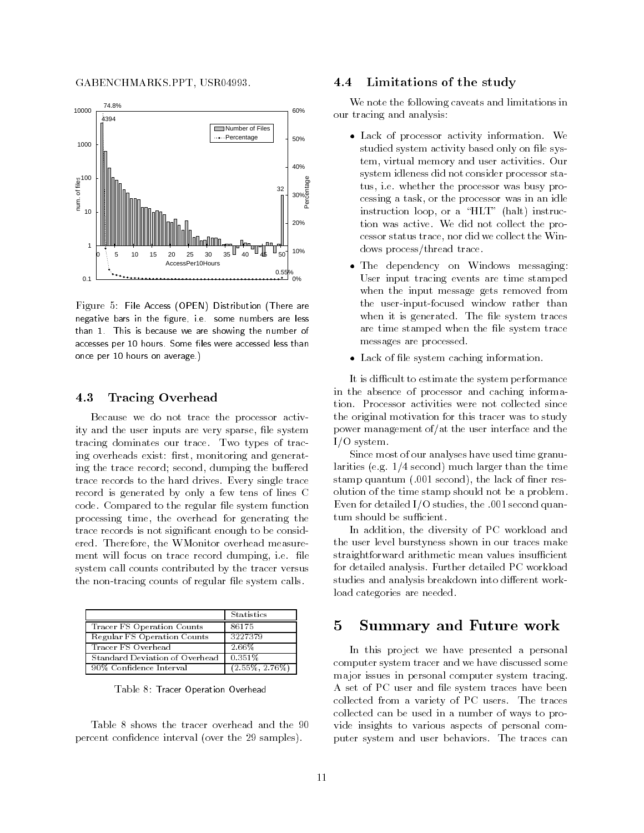

Figure 5: File Access (OPEN) Distribution (There are negative bars in the figure, i.e. some numbers are less than 1. This is because we are showing the number of accesses per 10 hours. Some files were accessed less than once per 10 hours on average.)

#### 4.3 Tracing Overhead

Because we do not trace the processor activity and the user inputs are very sparse, file system tracing dominates our trace. Two types of tracing overheads exist: first, monitoring and generating the trace record; second, dumping the buffered trace records to the hard drives. Every single trace record is generated by only a few tens of lines C code. Compared to the regular file system function processing time, the overhead for generating the trace records is not signicant enough to be considered. Therefore, the WMonitor overhead measure ment will focus on trace record dumping, i.e. file system call counts contributed by the tracer versus the non-tracing counts of regular file system calls.

|                                | <b>Statistics</b>  |
|--------------------------------|--------------------|
| Tracer FS Operation Counts     | 86175              |
| Regular FS Operation Counts    | 3227379            |
| Tracer FS Overhead             | 2.66%              |
| Standard Deviation of Overhead | $0.351\%$          |
| 90% Confidence Interval        | $(2.55\%, 2.76\%)$ |

Table 8: Tracer Operation Overhead

Table 8 shows the tracer overhead and the 90 percent condence interval (over the 29 samples).

#### 4.4 Limitations of the study

We note the following caveats and limitations in our tracing and analysis:

- Lack of processor activity information. We studied system activity based only on file system, virtual memory and user activities. Our system idleness did not consider processor status, i.e. whether the processor was busy processing a task, or the processor was in an idle instruction loop, or a "HLT" (halt) instruction was active. We did not collect the processor status trace, nor did we collect the Windows process/thread trace.
- The dependency on Windows messaging: User input tracing events are time stamped when the input message gets removed from the user-input-focused window rather than when it is generated. The file system traces are time stamped when the file system trace messages are processed.
- Lack of le system caching information.

It is difficult to estimate the system performance in the absence of processor and caching information. Processor activities were not collected since the original motivation for this tracer was to study power management of/at the user interface and the I/O system.

Since most of our analyses have used time granularities (e.g. 1/4 second) much larger than the time stamp quantum (.001 second), the lack of finer resolution of the time stamp should not be a problem. Even for detailed I/O studies, the .001 second quan-

In addition, the diversity of PC workload and the user level burstyness shown in our traces make straightforward arithmetic mean values insufficient for detailed analysis. Further detailed PC workload studies and analysis breakdown into different workload categories are needed.

#### $\overline{5}$ 5 Summary and Future work

In this project we have presented a personal computer system tracer and we have discussed some major issues in personal computer system tracing. A set of PC user and file system traces have been collected from a variety of PC users. The traces collected can be used in a number of ways to provide insights to various aspects of personal computer system and user behaviors. The traces can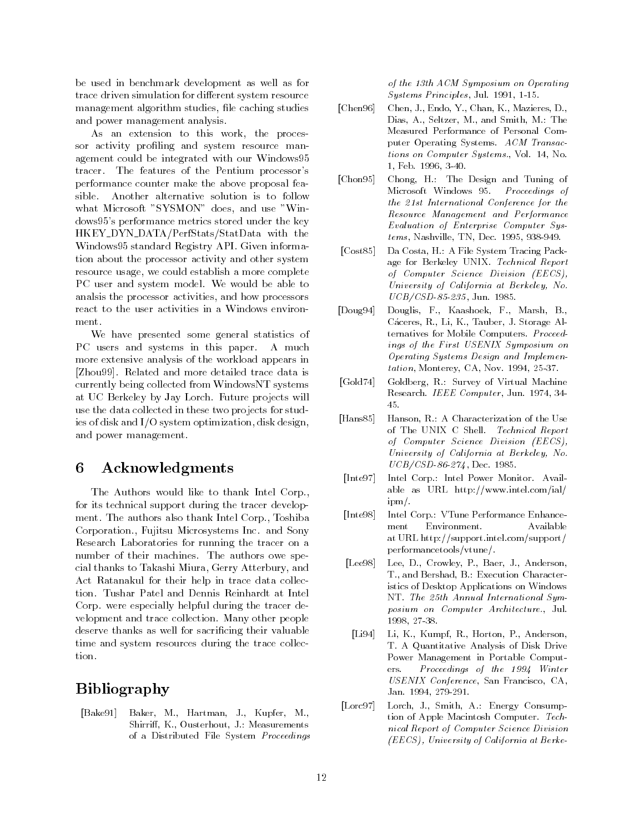be used in benchmark development as well as for trace driven simulation for different system resource management algorithm studies, file caching studies and power management analysis.

As an extension to this work, the processor activity profiling and system resource management could be integrated with our Windows95 tracer. The features of the Pentium processor's performance counter make the above proposal feasible. Another alternative solution is to follow what Microsoft "SYSMON" does, and use "Windows95's performance metrics stored under the key HKEY DYN DATA/PerfStats/StatData with the Windows95 standard Registry API. Given information about the processor activity and other system resource usage, we could establish a more complete PC user and system model. We would be able to analsis the processor activities, and how processors react to the user activities in a Windows environ ment

We have presented some general statistics of PC users and systems in this paper. A much more extensive analysis of the workload appears in [Zhou99]. Related and more detailed trace data is currently being collected from WindowsNT systems at UC Berkeley by Jay Lorch. Future projects will use the data collected in these two projects for studies of disk and I/O system optimization, disk design, and power management.

# 6 Acknowledgments

The Authors would like to thank Intel Corp., for its technical support during the tracer develop ment. The authors also thank Intel Corp., Toshiba Corporation., Fujitsu Microsystems Inc. and Sony Research Laboratories for running the tracer on a number of their machines. The authors owe special thanks to Takashi Miura, Gerry Atterbury, and Act Ratanakul for their help in trace data collection. Tushar Patel and Dennis Reinhardt at Intel Corp. were especially helpful during the tracer development and trace collection. Many other people deserve thanks as well for sacrificing their valuable time and system resources during the trace collection

# Bibliography

[Bake91] Baker, M., Hartman, J., Kupfer, M., Shirriff, K., Ousterhout, J.: Measurements of a Distributed File System Proceedings of the 13th ACM Symposium on Operating Systems Principles , Jul. 1991, 1-15.

- [Chen96] Chen, J., Endo, Y., Chan, K., Mazieres, D., Dias, A., Seltzer, M., and Smith, M.: The Measured Performance of Personal Computer Operating Systems. ACM Transactions on Computer Systems., Vol. 14, No. 1, Feb. 1996, 3-40.
- [Chon95] Chong, H.: The Design and Tuning of Microsoft Windows 95. Proceedings of the 21st International Conference for the Resource Management and Performance Evaluation of Enterprise Computer Systems , Nashville, TN, Dec. 1995, 938-949.
- [Cost85] Da Costa, H.: A File System Tracing Package for Berkeley UNIX. Technical Report of Computer Science Division (EECS), University of California at Berkeley, No. UCB/CSD-85-235 , Jun. 1985.
- [Doug94] Douglis, F., Kaashoek, F., Marsh, B., Caceres, R., Li, K., Tauber, J. Storage Alternatives for Mobile Computers. Proceedings of the First USENIX Symposium on Operating Systems Design and Implementation, Monterey, CA, Nov. 1994, 25-37.
- [Gold74] Goldberg, R.: Survey of Virtual Machine Research. IEEE Computer, Jun. 1974, 34-45.
- [Hans85] Hanson, R.: A Characterization of the Use of The UNIX C Shell. Technical Report of Computer Science Division (EECS), University of California at Berkeley, No. UCB/CSD-86-274, Dec. 1985.
- [Inte97] Intel Corp.: Intel Power Monitor. Available as URL http://www.intel.com/ial/ ipm/.
- [Inte98] Intel Corp.: VTune Performance Enhance ment Environment. Available at URL http://support.intel.com/support/ performancetools/vtune/.
- [Lee98] Lee, D., Crowley, P., Baer, J., Anderson, T., and Bershad, B.: Execution Characteristics of Desktop Applications on Windows NT. The 25th Annual International Symposium on Computer Architecture., Jul. 1998, 27-38.
- [Li94] Li, K., Kumpf, R., Horton, P., Anderson, T. A Quantitative Analysis of Disk Drive Power Management in Portable Computers. Proceedings of the 1994 Winter USENIX Conference, San Francisco, CA, Jan. 1994, 279-291.
- [Lorc97] Lorch, J., Smith, A.: Energy Consumption of Apple Macintosh Computer. Technical Report of Computer Science Division (EECS), University of California at Berke-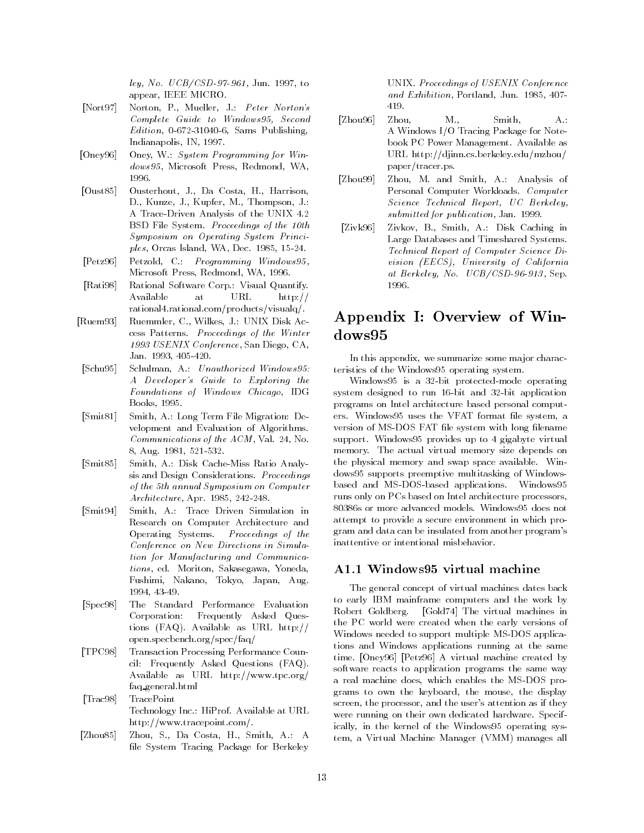ley, No. UCB/CSD-97-961 , Jun. 1997, to appear, IEEE MICRO.

- [Nort97] Norton, P., Mueller, J.: Peter Norton's Complete Guide to Windows95, Second  $Editor, 0-672-31040-6, Sams Publishing,$ Indianapolis, IN, 1997.
- [Oney96] Oney, W.: System Programming for Windows95 , Microsoft Press, Redmond, WA, 1996.
- [Oust85] Ousterhout, J., Da Costa, H., Harrison, D., Kunze, J., Kupfer, M., Thompson, J.: A Trace-Driven Analysis of the UNIX 4.2 BSD File System. Proceedings of the 10th Symposium on Operating System Principles, Orcas Island, WA, Dec. 1985, 15-24.
- [Petz96] Petzold, C.: Programming Windows95 , Microsoft Press, Redmond, WA, 1996.
- [Rati98] Rational Software Corp.: Visual Quantify. Available at URL http:// rational4.rational.com/products/visualq/.
- [Ruem93] Ruemmler, C., Wilkes, J.: UNIX Disk Access Patterns. Proceedings of the Winter 1993 USENIX Conference , San Diego, CA, Jan. 1993, 405-420.
- [Schu95] Schulman, A.: Unauthorized Windows95: A Developer's Guide to Exploring the Foundations of Windows Chicago, IDG Books, 1995.
- [Smit81] Smith, A.: Long Term File Migration: Development and Evaluation of Algorithms. Communications of the ACM , Val. 24, No. 8, Aug. 1981, 521-532.
- [Smit85] Smith, A.: Disk Cache-Miss Ratio Analysis and Design Considerations. Proceedings of the 5th annual Symposium on Computer Architecture, Apr. 1985, 242-248.
- [Smit94] Smith, A.: Trace Driven Simulation in Research on Computer Architecture and Operating Systems. Proceedings of the Conference on New Directions in Simulation for Manufacturing and Communications , ed. Moriton, Sakasegawa, Yoneda, Fushimi, Nakano, Tokyo, Japan, Aug. 1994, 43-49.
- [Spec98] The Standard Performance Evaluation Corporation: Frequently Asked Questions (FAQ). Available as URL http:// open.specbench.org/spec/faq/
- [TPC98] Transaction Processing Performance Council: Frequently Asked Questions (FAQ). Available as URL http://www.tpc.org/ faq general.html
- [Trac98] TracePoint Technology Inc.: HiProf. Available at URL http://www.tracepoint.com/.
- [Zhou85] Zhou, S., Da Costa, H., Smith, A.: A file System Tracing Package for Berkeley

UNIX. Proceedings of USENIX Conference and Exhibition, Portland, Jun. 1985, 407- 419.

- $[Zhou96]$   $Zhou$ , M., Smith  $A$ . A Windows I/O Tracing Package for Notebook PC Power Management. Available as URL http://djinn.cs.berkeley.edu/mzhou/ paper/tracer.ps.
- [Zhou99] Zhou, M. and Smith, A.: Analysis of Personal Computer Workloads. Computer Science Technical Report, UC Berkeley, submitted for publication, Jan. 1999.
- [Zivk96] Zivkov, B., Smith, A.: Disk Caching in Large Databases and Timeshared Systems. Technical Report of Computer Science Division (EECS), University of California at Berkeley, No.  $UCB/CSD-96-913$ , Sep.

# Appendix I: Overview of Windows95

In this appendix, we summarize some major characteristics of the Windows95 operating system.

Windows95 is a 32-bit protected-mode operating system designed to run 16-bit and 32-bit application programs on Intel architecture based personal computers. Windows95 uses the VFAT format file system, a version of MS-DOS FAT file system with long filename support. Windows95 provides up to 4 gigabyte virtual memory. The actual virtual memory size depends on the physical memory and swap space available. Windows95 supports preemptive multitasking of Windowsbased and MS-DOS-based applications. Windows95 runs only on PCs based on Intel architecture processors, 80386s or more advanced models. Windows95 does not attempt to provide a secure environment in which program and data can be insulated from another program's inattentive or intentional misbehavior.

#### A1.1 Windows95 virtual machine

The general concept of virtual machines dates back to early IBM mainframe computers and the work by Robert Goldberg. [Gold74] The virtual machines in the PC world were created when the early versions of Windows needed to support multiple MS-DOS applications and Windows applications running at the same time. [Oney96] [Petz96] A virtual machine created by software reacts to application programs the same way a real machine does, which enables the MS-DOS programs to own the keyboard, the mouse, the display screen, the processor, and the user's attention as if they were running on their own dedicated hardware. Specifically, in the kernel of the Windows95 operating system, a Virtual Machine Manager (VMM) manages all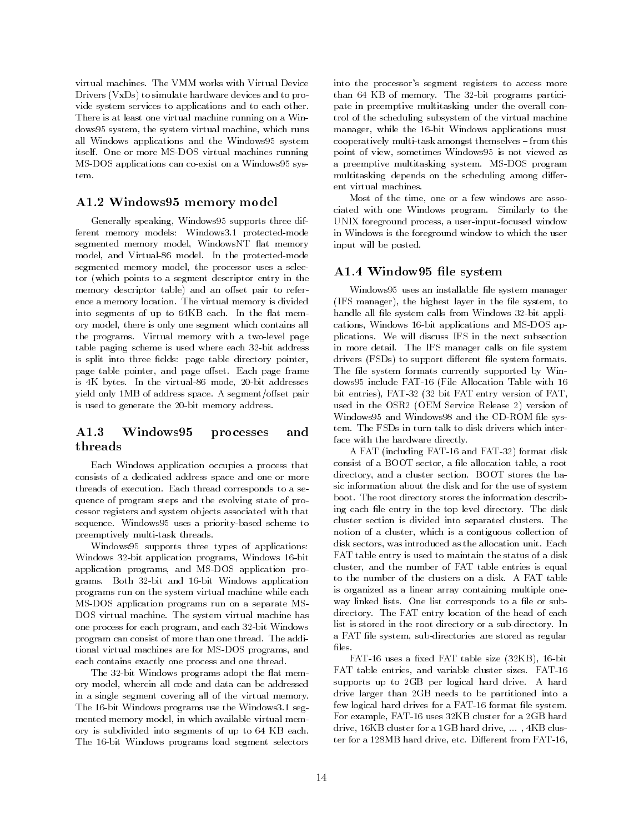virtual machines. The VMM works with Virtual Device Drivers (VxDs) to simulate hardware devices and to provide system services to applications and to each other. There is at least one virtual machine running on a Windows95 system, the system virtual machine, which runs all Windows applications and the Windows95 system itself. One or more MS-DOS virtual machines running MS-DOS applications can co-exist on a Windows95 system.

### A1.2 Windows95 memory model

Generally speaking, Windows95 supports three different memory models: Windows3.1 protected-mode segmented memory model, WindowsNT flat memory model, and Virtual-86 model. In the protected-mode segmented memory model, the processor uses a selector (which points to a segment descriptor entry in the memory descriptor table) and an offset pair to reference a memory location. The virtual memory is divided into segments of up to 64KB each. In the flat memory model, there is only one segment which contains all the programs. Virtual memory with a two-level page table paging scheme is used where each 32-bit address is split into three fields: page table directory pointer, page table pointer, and page offset. Each page frame is 4K bytes. In the virtual-86 mode, 20-bit addresses yield only 1MB of address space. A segment/offset pair is used to generate the 20-bit memory address.

## A1.3 Windows95 processes and threads

Each Windows application occupies a process that consists of a dedicated address space and one or more threads of execution. Each thread corresponds to a sequence of program steps and the evolving state of processor registers and system ob jects associated with that sequence. Windows95 uses a priority-based scheme to preemptively multi-task threads.

Windows95 supports three types of applications: Windows 32-bit application programs, Windows 16-bit application programs, and MS-DOS application programs. Both 32-bit and 16-bit Windows application programs run on the system virtual machine while each MS-DOS application programs run on a separate MS-DOS virtual machine. The system virtual machine has one process for each program, and each 32-bit Windows program can consist of more than one thread. The additional virtual machines are for MS-DOS programs, and each contains exactly one process and one thread.

The 32-bit Windows programs adopt the flat memory model, wherein all code and data can be addressed in a single segment covering all of the virtual memory. The 16-bit Windows programs use the Windows3.1 seg mented memory model, in which available virtual memory is subdivided into segments of up to 64 KB each. The 16-bit Windows programs load segment selectors into the processor's segment registers to access more than 64 KB of memory. The 32-bit programs participate in preemptive multitasking under the overall control of the scheduling subsystem of the virtual machine manager, while the 16-bit Windows applications must cooperatively multi-task amongst themselves { from this point of view, sometimes Windows95 is not viewed as a preemptive multitasking system. MS-DOS program multitasking depends on the scheduling among different virtual machines.

Most of the time, one or a few windows are associated with one Windows program. Similarly to the UNIX foreground process, a user-input-focused window in Windows is the foreground window to which the user input will be posted.

### A1.4 Window95 file system

Windows95 uses an installable file system manager (IFS manager), the highest layer in the file system, to handle all file system calls from Windows 32-bit applications, Windows 16-bit applications and MS-DOS applications. We will discuss IFS in the next subsection in more detail. The IFS manager calls on file system drivers (FSDs) to support different file system formats. The file system formats currently supported by Windows95 include FAT-16 (File Allocation Table with 16 bit entries), FAT-32 (32 bit FAT entry version of FAT, used in the OSR2 (OEM Service Release 2) version of Windows95 and Windows98 and the CD-ROM file system. The FSDs in turn talk to disk drivers which interface with the hardware directly.

A FAT (including FAT-16 and FAT-32) format disk consist of a BOOT sector, a file allocation table, a root directory, and a cluster section. BOOT stores the basic information about the disk and for the use of system boot. The root directory stores the information describing each file entry in the top level directory. The disk cluster section is divided into separated clusters. The notion of a cluster, which is a contiguous collection of disk sectors, was introduced as the allocation unit. Each FAT table entry is used to maintain the status of a disk cluster, and the number of FAT table entries is equal to the number of the clusters on a disk. A FAT table is organized as a linear array containing multiple one way linked lists. One list corresponds to a file or subdirectory. The FAT entry location of the head of each list is stored in the root directory or a sub-directory. In a FAT le system, sub-directories are stored as regular files.

FAT-16 uses a fixed FAT table size (32KB), 16-bit FAT table entries, and variable cluster sizes. FAT-16 supports up to 2GB per logical hard drive. A hard drive larger than 2GB needs to be partitioned into a few logical hard drives for a FAT-16 format file system. For example, FAT-16 uses 32KB cluster for a 2GB hard drive, 16KB cluster for a 1GB hard drive, ... , 4KB cluster for a 128MB hard drive, etc. Different from FAT-16,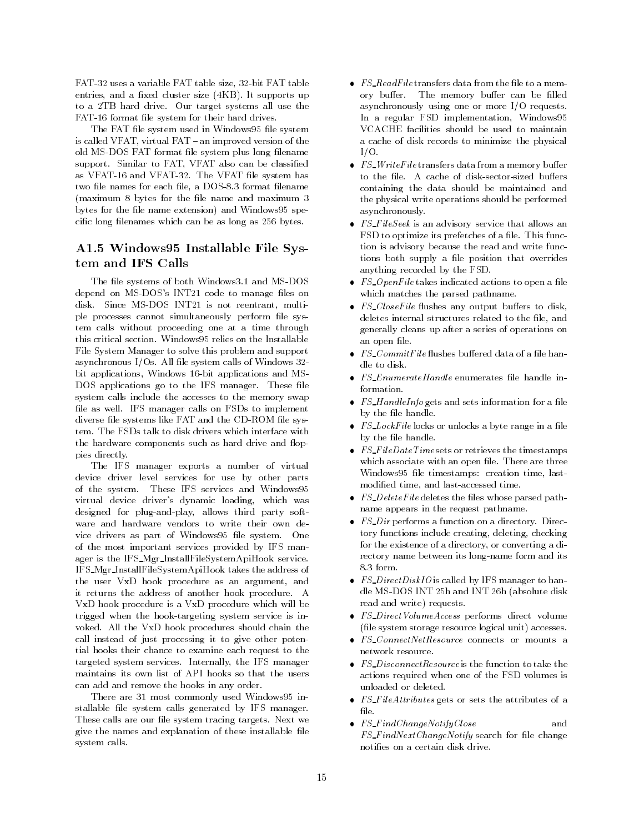FAT-32 uses a variable FAT table size, 32-bit FAT table entries, and a fixed cluster size  $(4KB)$ . It supports up to a 2TB hard drive. Our target systems all use the FAT-16 format file system for their hard drives.

The FAT file system used in Windows95 file system is called VFAT, virtual  $FAT - an$  improved version of the old MS-DOS-FAT format file system plus long filename support. Similar to FAT, VFAT also can be classified as VFAT-16 and VFAT-32. The VFAT file system has two file names for each file, a DOS-8.3 format filename (maximum 8 bytes for the file name and maximum 3 bytes for the file name extension) and Windows95 specific long filenames which can be as long as 256 bytes.

## A1.5 Windows95 Installable File System and IFS Calls

The file systems of both Windows3.1 and MS-DOS depend on MS-DOS's INT21 code to manage files on disk. Since MS-DOS INT21 is not reentrant, multiple processes cannot simultaneously perform file system calls without proceeding one at a time through this critical section. Windows95 relies on the Installable File System Manager to solve this problem and support asynchronous  $I/Os$ . All file system calls of Windows 32bit applications, Windows 16-bit applications and MS-DOS applications go to the IFS manager. These file system calls include the accesses to the memory swap file as well. IFS manager calls on FSDs to implement diverse file systems like FAT and the CD-ROM file system. The FSDs talk to disk drivers which interface with the hardware components such as hard drive and floppies directly.

The IFS manager exports a number of virtual device driver level services for use by other parts of the system. These IFS services and Windows95 virtual device driver's dynamic loading, which was designed for plug-and-play, allows third party soft ware and hardware vendors to write their own device drivers as part of Windows95 file system. One of the most important services provided by IFS manager is the IFS Mgr InstallFileSystemApiHook service. IFS Mgr InstallFileSystemApiHook takes the address of the user VxD hook procedure as an argument, and it returns the address of another hook procedure. A VxD hook procedure is a VxD procedure which will be trigged when the hook-targeting system service is invoked. All the VxD hook procedures should chain the call instead of just processing it to give other potential hooks their chance to examine each request to the targeted system services. Internally, the IFS manager maintains its own list of API hooks so that the users can add and remove the hooks in any order.

There are 31 most commonly used Windows95 installable file system calls generated by IFS manager. These calls are our file system tracing targets. Next we give the names and explanation of these installable file system calls.

- FS ReadFile transfers data from the le to a memory buffer. The memory buffer can be filled asynchronously using one or more I/O requests. In a regular FSD implementation, Windows95 VCACHE facilities should be used to maintain a cache of disk records to minimize the physical  $\sim$   $\sim$   $\sim$
- FS WriteFile transferred data from a memory business to the file. A cache of disk-sector-sized buffers containing the data should be maintained and the physical write operations should be performed asynchronously.
- Files files files and allows an allows and allows and allows an allows an allows and FSD to optimize its prefetches of a file. This function is advisory because the read and write functions both supply a file position that overrides anything recorded by the FSD.
- File takes in the takes in the contractions to open a letter of the state of the state of the state of the state of the state of the state of the state of the state of the state of the state of the state of the state of th which matches the parsed pathname.
- FS CloseFile ushes any output buers to disk, deletes internal structures related to the file, and generally cleans up after a series of operations on an open file.
- FS CommitFile ushes buered data of a le handle to disk.
- Fandle enumerates en letter in an in-the in-the second information.
- $\mathbf{F}$  is a set in form  $\mathbf{F}$  and sets in formation for a set  $\mathbf{F}$  and  $\mathbf{F}$ by the file handle.
- $\sim$  1. September of the state of  $\sim$  100 range in a measure by the file handle.
- FileDate Timestamps the timestamps the timestame sets of the timestame of the timestame of the timestame of the which associate with an open file. There are three Windows95 file timestamps: creation time, lastmodied time, and last-accessed time.
- $\cdot$  . I parse the deleter the mean whose parsed pathname appears in the request pathname.
- FS Dir performs a function on a directory. Directory functions include creating, deleting, checking for the existence of a directory, or converting a directory name between its long-name form and its 8.3 form.
- $\cdot$  I below the contract begins to have the manifold by  $\cdot$  . The manifold  $\cdot$ dle MS-DOS INT 25h and INT 26h (absolute disk read and write) requests.
- FS Direct Volume Access performances and the continues (file system storage resource logical unit) accesses.
- FS ConnectNetResource connects or mounts a network resource.
- Factor is the function to the function to the function the function the function  $\mathcal{L}_\mathbf{X}$ actions required when one of the FSD volumes is unloaded or deleted.
- FS FileAttributes gets or sets the attributes of a file.
- and Find Changes and Changes and Changes and Changes and Changes and Changes and Changes and Changes and Changes and Changes and Changes and Changes and Changes and Changes and Changes and Changes and Changes and Changes and C  $FS\_{FindNextChangeNotify$  search for file change notifies on a certain disk drive.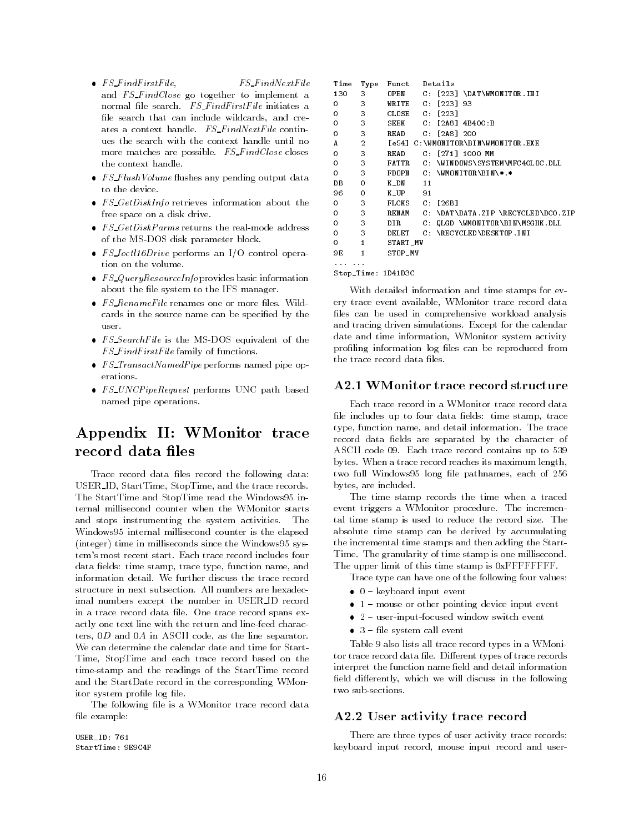- Find FirstFile, Find The Find Address Find Address Find Address Find Address Find Address Find Address Find Add and FS FindClose go together to implement a normal file search. FS\_FindFirstFile initiates a file search that can include wildcards, and creates a context handle. FS FindNextFile continues the search with the context handle until no more matches are possible. FS\_FindClose closes the context handle.
- FS FlushVolume ushes any pending output data to the device.
- FS GetDiskInfo retrieves information about the free space on a disk drive.
- FS GetDiskParms returns the real-mode address of the MS-DOS disk parameter block. of the MS-DOS disk parameter block and the MS-DOS disk parameter block.
- FS Ioctl16Drive performs an I/O control operation on the volume
- FS Query Resource Information provides basic information in the provides basic information in the provides basic information of the provides of the provides of the provides of the provides of the provides of the provides o about the file system to the IFS manager.
- Figure , with  $\mathcal{F}_\text{max}$  renames on  $\mathcal{F}_\text{max}$  and  $\mathcal{F}_\text{max}$  and  $\mathcal{F}_\text{max}$  and  $\mathcal{F}_\text{max}$ cards in the source name can be specied by the  $11SPT$
- Factor File is the MS-DOS equivalent of the MS-DOS equivalent of the MS-DOS equivalent of the MS-DOS equivalent of the MS-DOS equivalent of the MS-DOS equivalent of the MS-DOS equivalent of the MS-DOS equivalent of the MS-FS FindFirstFile family of functions.
- Fame and the state of the performance of the pipe operation of  $\mathbb{P}^n$ erations.
- FS UNCPipeRequest performs UNC path based named pipe operations.

# Appendix II: WMonitor trace record data files

Trace record data files record the following data: USER ID, StartTime, StopTime, and the trace records. The StartTime and StopTime read the Windows95 internal millisecond counter when the WMonitor starts and stops instrumenting the system activities. The Windows95 internal millisecond counter is the elapsed (integer) time in milliseconds since the Windows95 system's most recent start. Each trace record includes four data fields: time stamp, trace type, function name, and information detail. We further discuss the trace record structure in next subsection. All numbers are hexadecimal numbers except the number in USER ID record in a trace record data file. One trace record spans exactly one text line with the return and line-feed characters, 0D and 0A in ASCII code, as the line separator. We can determine the calendar date and time for Start-Time, StopTime and each trace record based on the time-stamp and the readings of the StartTime record and the StartDate record in the corresponding WMonitor system profile log file.

The following file is a WMonitor trace record data file example:

USER ID: 761 USER\_ID: 761 USER\_ID: 761 USER\_ID: 761 USER\_ID: 761 USER\_ID: 761 USER\_ID: 761 USER\_ID: 761 USER\_ID: 761 USER\_I StartTime: 9E9C4F

| Time | Type           | Funct<br>Details                                |
|------|----------------|-------------------------------------------------|
| 130  | 3              | C: [223] \DAT\WMONITOR.INI<br>OPEN              |
| 0    | 3              | $C: [223]$ 93<br>WRITE                          |
| 0    | 3              | C: I2231<br>CLOSE                               |
| 0    | 3              | $C: \; \; \lceil 2A8 \rceil \; 4B400:B$<br>SEEK |
| 0    | 3              | C: [2A8] 200<br>READ                            |
| A    | $\overline{2}$ | [e54] C:\WMONITOR\BIN\WMONITOR.EXE              |
| 0    | 3              | C: I2711 1000 M<br>READ                         |
| 0    | 3              | FATTR C: \WINDOWS\SYSTEM\MFC40LOC.DLL           |
| 0    | 3              | C: \WMONITOR\BIN\*.*<br><b>FDOPN</b>            |
| DB   | 0              | K DN<br>11                                      |
| 96   | 0              | $K_UP$<br>91                                    |
| 0    | 3              | FLCKS C: [26B]                                  |
| 0    | 3              | C: \DAT\DATA ZIP \RECYCLED\DCO.ZIP<br>RENAM     |
| 0    | 3              | C: QLGD \WMONITOR\BIN\MSGHK.DLL<br>DIR.         |
| 0    | 3              | C: \RECYCLED\DESKTOP.INI<br>DELET               |
| 0    | 1              | START_MV                                        |
| 9Ε   | 1              | STOP MV                                         |
|      |                |                                                 |
|      |                | Stop_Time: 1D41D3C                              |

With detailed information and time stamps for every trace event available, WMonitor trace record data files can be used in comprehensive workload analysis and tracing driven simulations. Except for the calendar date and time information, WMonitor system activity profiling information log files can be reproduced from the trace record data files.

### $\rm A2.1~WM$ onitor trace record structure

Each trace record in a WMonitor trace record data file includes up to four data fields: time stamp, trace type, function name, and detail information. The trace record data fields are separated by the character of ASCII code 09. Each trace record contains up to 539 bytes. When a trace record reaches its maximum length, two full Windows95 long file pathnames, each of 256 bytes, are included.

The time stamp records the time when a traced event triggers a WMonitor procedure. The incremental time stamp is used to reduce the record size. The absolute time stamp can be derived by accumulating the incremental time stamps and then adding the Start-Time. The granularity of time stamp is one millisecond. The upper limit of this time stamp is 0xFFFFFFFF.

Trace type can have one of the following four values:

- d board in put the second input event of the second second in the second second in the second second in the second second second in the second second second second second second second second second second second second se
- 1 { mouse or other pointing device input event
- 2 { user-input-focused window switch event
- 3 { le system call event

Table 9 also lists all trace record types in a WMonitor trace record data file. Different types of trace records interpret the function name field and detail information field differently, which we will discuss in the following two sub-sections.

## A2.2 User activity trace record

There are three types of user activity trace records: keyboard input record, mouse input record and user-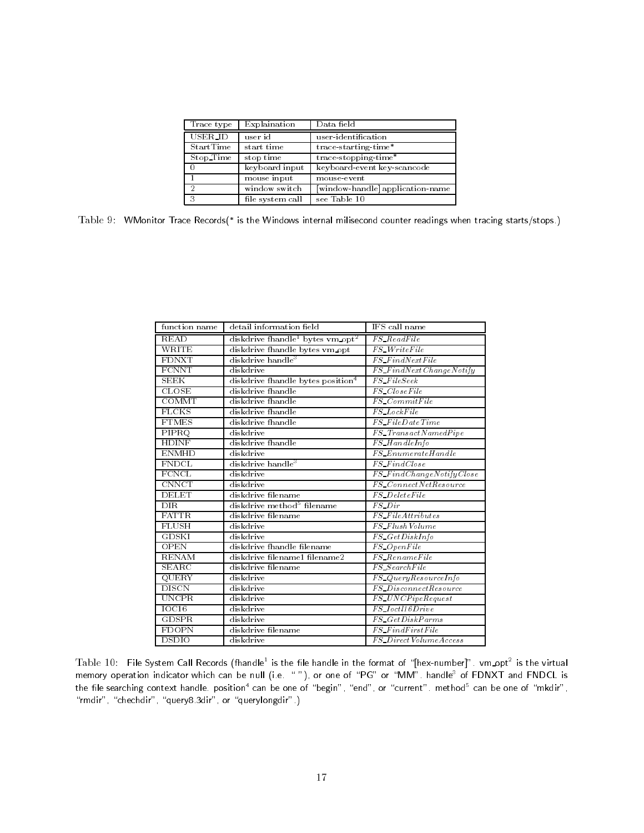| Trace type       | Explaination     | Data field                       |
|------------------|------------------|----------------------------------|
| USER_ID          | user id          | user-identification              |
| <b>StartTime</b> | start time       | trace-starting-time*             |
| Stop_Time        | stop time        | trace-stopping-time*             |
|                  | keyboard input   | keyboard-event key-scancode      |
|                  | mouse input      | mouse-event                      |
| 2                | window switch    | [window-handle] application-name |
| 3                | file system call | see Table 10                     |

Table 9: WMonitor Trace Records( is the Windows internal milisecond counter readings when tracing starts/stops.)

| function name    | detail information field                                 | IFS call name                                           |
|------------------|----------------------------------------------------------|---------------------------------------------------------|
| <b>READ</b>      | diskdrive fhandle <sup>1</sup> bytes vm_opt <sup>2</sup> | $FS\_ReadFile$                                          |
| <b>WRITE</b>     | diskdrive fhandle bytes vm_opt                           | FS_WriteFile                                            |
| <b>FDNXT</b>     | diskdrive handle <sup>3</sup>                            | $FS_FindNextFile$                                       |
| FCNNT            | diskdrive                                                | FS_FindNextChangeNotify                                 |
| <b>SEEK</b>      | diskdrive fhandle bytes position <sup>4</sup>            | FS_FileSeek                                             |
| CLOSE            | diskdrive fhandle                                        | FS_CloseFile                                            |
| COMMT            | diskdrive fhandle                                        | $FS\_CommitFile$                                        |
| <b>FLCKS</b>     | diskdrive fhandle                                        | $FS\_LockFile$                                          |
| <b>FTMES</b>     | diskdrive fhandle                                        | $FS$ <sub>-File</sub> D <sub>ate</sub> T <sub>ime</sub> |
| PIPRQ            | diskdrive                                                | FS_TransactNamedPipe                                    |
| <b>HDINF</b>     | diskdrive fhandle                                        | $FS\_HandleInfo$                                        |
| <b>ENMHD</b>     | diskdrive                                                | $FS\_EnumerateHandle$                                   |
| <b>FNDCL</b>     | diskdrive handle <sup>3</sup>                            | $FS\_FindClose$                                         |
| FCNCL            | diskdrive                                                | FS_FindChangeNotifyClose                                |
| CNNCT            | diskdrive                                                | FS ConnectNetResource                                   |
| <b>DELET</b>     | diskdrive filename                                       | $FS\_DeleteFile$                                        |
| $\overline{DIR}$ | diskdrive method <sup>5</sup> filename                   | FS Dir                                                  |
| <b>FATTR</b>     | diskdrive filename                                       | $FS_F$ ile Attributes                                   |
| <b>FLUSH</b>     | diskdrive                                                | FS_Flush Volume                                         |
| GDSKI            | diskdrive                                                | FS_GetDiskInfo                                          |
| OPEN             | diskdrive fhandle filename                               | FS_OpenFile                                             |
| <b>RENAM</b>     | diskdrive filename1 filename2                            | $FS\_Rememberile$                                       |
| <b>SEARC</b>     | diskdrive filename                                       | $FS\_SearchFile$                                        |
| QUERY            | diskdrive                                                | $FS\_QueryResourceInfo$                                 |
| DISCN            | diskdrive                                                | $FS\_DisconnectResource$                                |
| <b>UNCPR</b>     | diskdrive                                                | FS_UNCPipeRequest                                       |
| IOC16            | diskdrive                                                | FS_Ioctl16Drive                                         |
| GDSPR            | diskdrive                                                | $FS\_GetDiskP arms$                                     |
| FDOPN            | diskdrive filename                                       | $FS_FindFirstFile$                                      |
| <b>DSDIO</b>     | diskdrive                                                | FS_Direct VolumeA ccess                                 |

Lable 10: File System Call Records (fhandle" is the file handle in the format of  $\,$  |nex-number] . vm opt 1s the virtual  $\,$ memory operation indicator which can be null (i.e. \ "), or one of \PG" or \MM". handle3 of FDNXT and FNDCL is the file searching context handle. position Tcan be one of  $\,$  begin  $\,$  , end  $\,$  or  $\,$  current  $\,$  method Tcan be one of  $\,$  mKdir  $\,$  ,  $\,$ "rmdir", "chechdir", "query8.3dir", or "querylongdir".)